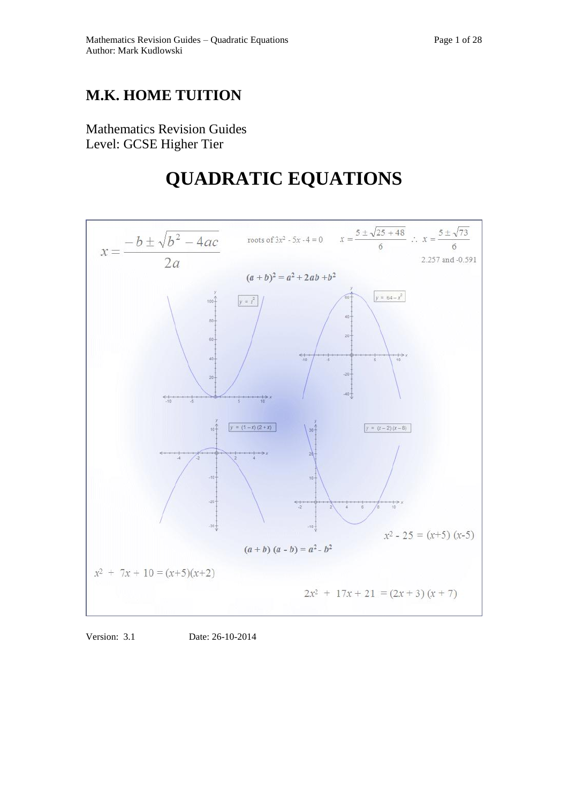## **M.K. HOME TUITION**

Mathematics Revision Guides Level: GCSE Higher Tier

# **QUADRATIC EQUATIONS**



Version: 3.1 Date: 26-10-2014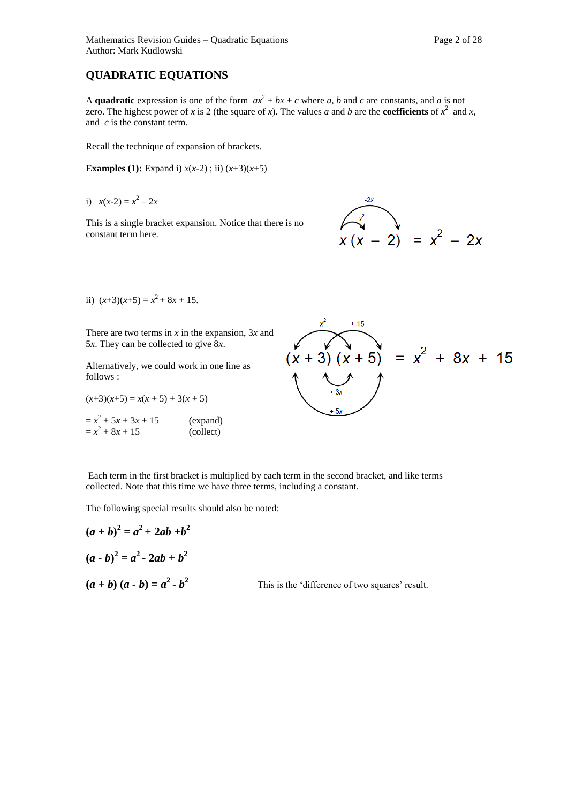### **QUADRATIC EQUATIONS**

A **quadratic** expression is one of the form  $ax^2 + bx + c$  where *a*, *b* and *c* are constants, and *a* is not zero. The highest power of *x* is 2 (the square of *x*). The values *a* and *b* are the **coefficients** of  $x^2$  and *x*, and *c* is the constant term.

Recall the technique of expansion of brackets.

**Examples (1):** Expand i)  $x(x-2)$ ; ii)  $(x+3)(x+5)$ 

i) 
$$
x(x-2) = x^2 - 2x
$$

This is a single bracket expansion. Notice that there is no constant term here.



ii)  $(x+3)(x+5) = x^2 + 8x + 15$ .

There are two terms in *x* in the expansion, 3*x* and 5*x*. They can be collected to give 8*x*.

Alternatively, we could work in one line as follows :

 $(x+3)(x+5) = x(x+5) + 3(x+5)$ 

 $=x^2 + 5x + 3x + 15$  (expand)  $= x^2 + 8x + 15$  (collect)



Each term in the first bracket is multiplied by each term in the second bracket, and like terms collected. Note that this time we have three terms, including a constant.

The following special results should also be noted:

$$
(a + b)2 = a2 + 2ab + b2
$$
  
(a - b)<sup>2</sup> = a<sup>2</sup> - 2ab + b<sup>2</sup>  
(a + b) (a - b) = a<sup>2</sup> - b<sup>2</sup> This is the 'different

ence of two squares' result.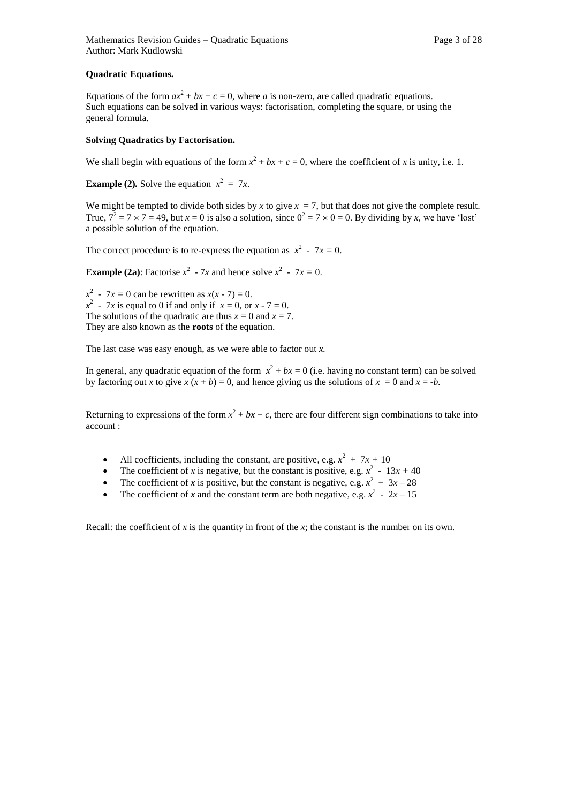#### **Quadratic Equations.**

Equations of the form  $ax^2 + bx + c = 0$ , where *a* is non-zero, are called quadratic equations. Such equations can be solved in various ways: factorisation, completing the square, or using the general formula.

#### **Solving Quadratics by Factorisation.**

We shall begin with equations of the form  $x^2 + bx + c = 0$ , where the coefficient of *x* is unity, i.e. 1.

**Example (2).** Solve the equation  $x^2 = 7x$ .

We might be tempted to divide both sides by *x* to give  $x = 7$ , but that does not give the complete result. True,  $7^2 = 7 \times 7 = 49$ , but  $x = 0$  is also a solution, since  $0^2 = 7 \times 0 = 0$ . By dividing by *x*, we have 'lost' a possible solution of the equation.

The correct procedure is to re-express the equation as  $x^2 - 7x = 0$ .

**Example (2a):** Factorise  $x^2 - 7x$  and hence solve  $x^2 - 7x = 0$ .

 $x^2 - 7x = 0$  can be rewritten as  $x(x - 7) = 0$ .  $x^2$  - 7*x* is equal to 0 if and only if  $x = 0$ , or  $x - 7 = 0$ . The solutions of the quadratic are thus  $x = 0$  and  $x = 7$ . They are also known as the **roots** of the equation.

The last case was easy enough, as we were able to factor out *x.* 

In general, any quadratic equation of the form  $x^2 + bx = 0$  (i.e. having no constant term) can be solved by factoring out *x* to give  $x(x + b) = 0$ , and hence giving us the solutions of  $x = 0$  and  $x = -b$ .

Returning to expressions of the form  $x^2 + bx + c$ , there are four different sign combinations to take into account :

- All coefficients, including the constant, are positive, e.g.  $x^2 + 7x + 10$
- The coefficient of *x* is negative, but the constant is positive, e.g.  $x^2 13x + 40$
- The coefficient of *x* is positive, but the constant is negative, e.g.  $x^2 + 3x 28$
- The coefficient of *x* and the constant term are both negative, e.g.  $x^2 2x 15$

Recall: the coefficient of  $x$  is the quantity in front of the  $x$ ; the constant is the number on its own.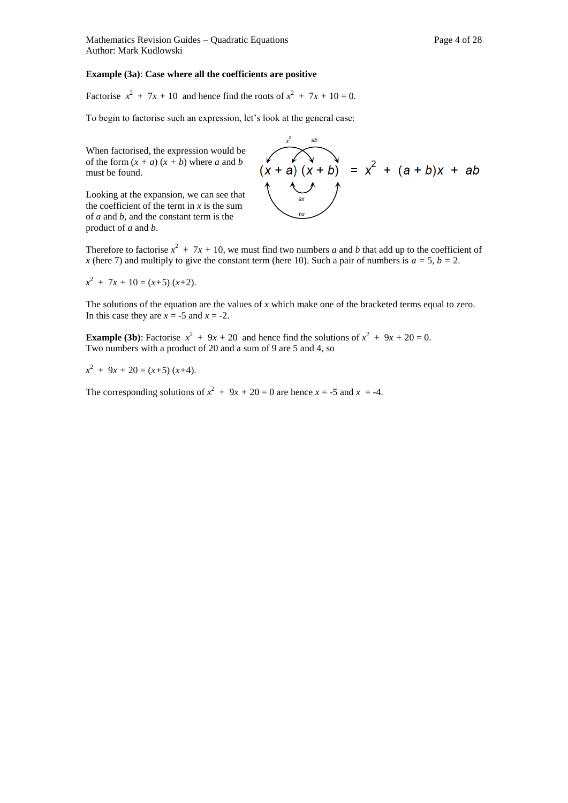#### **Example (3a)**: **Case where all the coefficients are positive**

Factorise  $x^2 + 7x + 10$  and hence find the roots of  $x^2 + 7x + 10 = 0$ .

To begin to factorise such an expression, let's look at the general case:

When factorised, the expression would be of the form  $(x + a)(x + b)$  where *a* and *b* must be found.

Looking at the expansion, we can see that the coefficient of the term in *x* is the sum of *a* and *b*, and the constant term is the product of *a* and *b*.



Therefore to factorise  $x^2 + 7x + 10$ , we must find two numbers *a* and *b* that add up to the coefficient of *x* (here 7) and multiply to give the constant term (here 10). Such a pair of numbers is  $a = 5$ ,  $b = 2$ .

$$
x^2 + 7x + 10 = (x+5) (x+2).
$$

The solutions of the equation are the values of *x* which make one of the bracketed terms equal to zero. In this case they are  $x = -5$  and  $x = -2$ .

**Example (3b)**: Factorise  $x^2 + 9x + 20$  and hence find the solutions of  $x^2 + 9x + 20 = 0$ . Two numbers with a product of 20 and a sum of 9 are 5 and 4, so

 $x^2 + 9x + 20 = (x+5)(x+4).$ 

The corresponding solutions of  $x^2 + 9x + 20 = 0$  are hence  $x = -5$  and  $x = -4$ .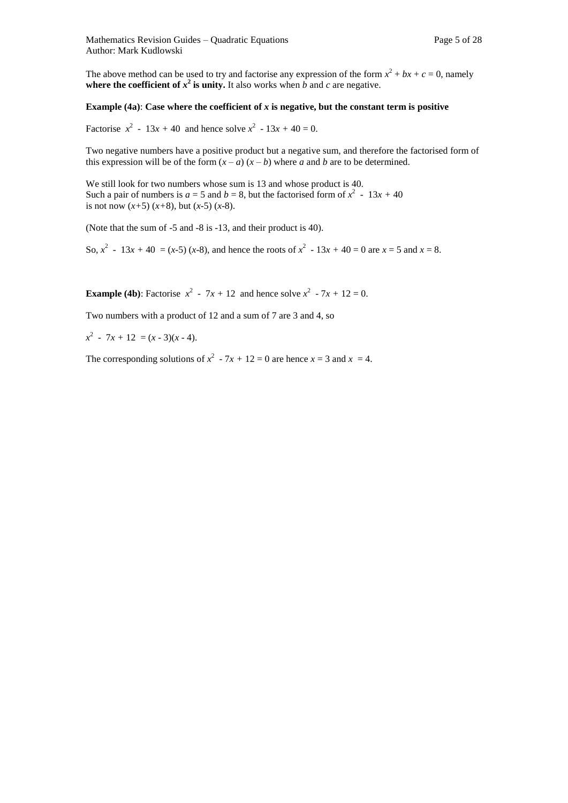The above method can be used to try and factorise any expression of the form  $x^2 + bx + c = 0$ , namely **where the coefficient of**  $x^2$  **is unity.** It also works when *b* and *c* are negative.

#### **Example (4a): Case where the coefficient of**  $x$  **is negative, but the constant term is positive**

Factorise  $x^2 - 13x + 40$  and hence solve  $x^2 - 13x + 40 = 0$ .

Two negative numbers have a positive product but a negative sum, and therefore the factorised form of this expression will be of the form  $(x - a)$   $(x - b)$  where *a* and *b* are to be determined.

We still look for two numbers whose sum is 13 and whose product is 40. Such a pair of numbers is  $a = 5$  and  $b = 8$ , but the factorised form of  $x^2 - 13x + 40$ is not now  $(x+5)$   $(x+8)$ , but  $(x-5)$   $(x-8)$ .

(Note that the sum of -5 and -8 is -13, and their product is 40).

So,  $x^2 - 13x + 40 = (x-5) (x-8)$ , and hence the roots of  $x^2 - 13x + 40 = 0$  are  $x = 5$  and  $x = 8$ .

**Example (4b):** Factorise  $x^2 - 7x + 12$  and hence solve  $x^2 - 7x + 12 = 0$ .

Two numbers with a product of 12 and a sum of 7 are 3 and 4, so

 $x^2$  - 7*x* + 12 = (*x* - 3)(*x* - 4).

The corresponding solutions of  $x^2 - 7x + 12 = 0$  are hence  $x = 3$  and  $x = 4$ .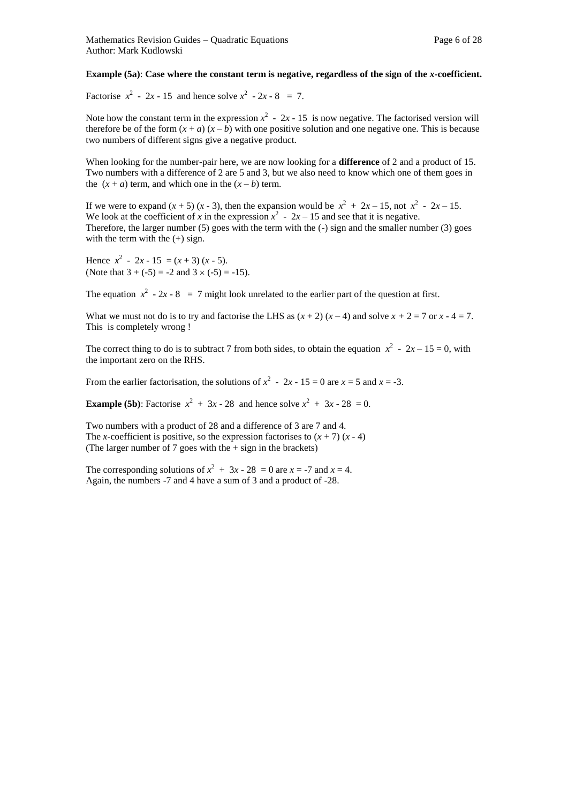#### **Example (5a)**: **Case where the constant term is negative, regardless of the sign of the** *x***-coefficient.**

Factorise  $x^2 - 2x - 15$  and hence solve  $x^2 - 2x - 8 = 7$ .

Note how the constant term in the expression  $x^2 - 2x - 15$  is now negative. The factorised version will therefore be of the form  $(x + a) (x - b)$  with one positive solution and one negative one. This is because two numbers of different signs give a negative product.

When looking for the number-pair here, we are now looking for a **difference** of 2 and a product of 15. Two numbers with a difference of 2 are 5 and 3, but we also need to know which one of them goes in the  $(x + a)$  term, and which one in the  $(x - b)$  term.

If we were to expand  $(x + 5)$   $(x - 3)$ , then the expansion would be  $x^2 + 2x - 15$ , not  $x^2 - 2x - 15$ . We look at the coefficient of *x* in the expression  $x^2 - 2x - 15$  and see that it is negative. Therefore, the larger number  $(5)$  goes with the term with the  $(-)$  sign and the smaller number  $(3)$  goes with the term with the  $(+)$  sign.

Hence  $x^2 - 2x - 15 = (x + 3) (x - 5)$ . (Note that  $3 + (-5) = -2$  and  $3 \times (-5) = -15$ ).

The equation  $x^2 - 2x - 8 = 7$  might look unrelated to the earlier part of the question at first.

What we must not do is to try and factorise the LHS as  $(x + 2)(x - 4)$  and solve  $x + 2 = 7$  or  $x - 4 = 7$ . This is completely wrong !

The correct thing to do is to subtract 7 from both sides, to obtain the equation  $x^2 - 2x - 15 = 0$ , with the important zero on the RHS.

From the earlier factorisation, the solutions of  $x^2 - 2x - 15 = 0$  are  $x = 5$  and  $x = -3$ .

**Example (5b):** Factorise  $x^2 + 3x - 28$  and hence solve  $x^2 + 3x - 28 = 0$ .

Two numbers with a product of 28 and a difference of 3 are 7 and 4. The *x*-coefficient is positive, so the expression factorises to  $(x + 7)(x - 4)$ (The larger number of  $7$  goes with the  $+$  sign in the brackets)

The corresponding solutions of  $x^2 + 3x - 28 = 0$  are  $x = -7$  and  $x = 4$ . Again, the numbers -7 and 4 have a sum of 3 and a product of -28.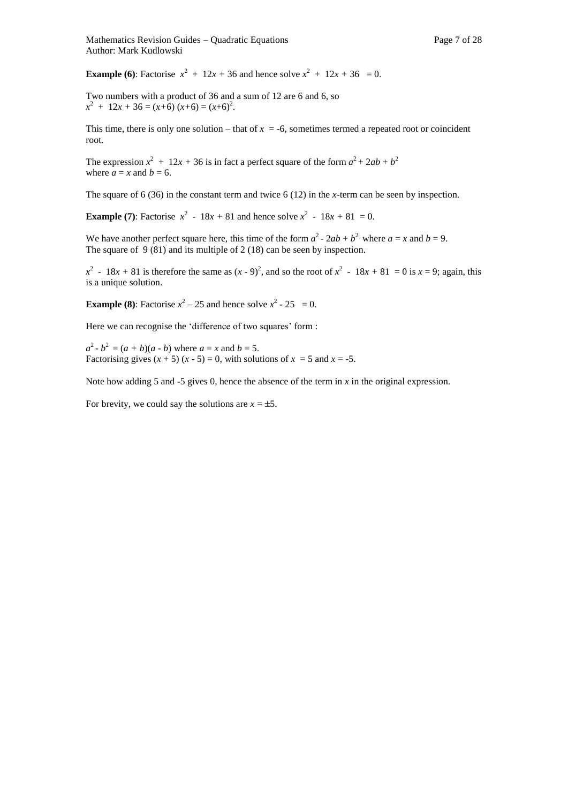**Example (6):** Factorise  $x^2 + 12x + 36$  and hence solve  $x^2 + 12x + 36 = 0$ .

Two numbers with a product of 36 and a sum of 12 are 6 and 6, so  $x^2 + 12x + 36 = (x+6)(x+6) = (x+6)^2$ .

This time, there is only one solution – that of  $x = -6$ , sometimes termed a repeated root or coincident root.

The expression  $x^2 + 12x + 36$  is in fact a perfect square of the form  $a^2 + 2ab + b^2$ where  $\vec{a} = x$  and  $\vec{b} = 6$ .

The square of 6 (36) in the constant term and twice 6 (12) in the *x-*term can be seen by inspection.

**Example (7):** Factorise  $x^2 - 18x + 81$  and hence solve  $x^2 - 18x + 81 = 0$ .

We have another perfect square here, this time of the form  $a^2 - 2ab + b^2$  where  $a = x$  and  $b = 9$ . The square of  $9(81)$  and its multiple of 2 (18) can be seen by inspection.

 $x^2$  - 18*x* + 81 is therefore the same as  $(x - 9)^2$ , and so the root of  $x^2$  - 18*x* + 81 = 0 is  $x = 9$ ; again, this is a unique solution.

**Example (8):** Factorise  $x^2 - 25$  and hence solve  $x^2 - 25 = 0$ .

Here we can recognise the 'difference of two squares' form :

 $a^2 - b^2 = (a + b)(a - b)$  where  $a = x$  and  $b = 5$ . Factorising gives  $(x + 5) (x - 5) = 0$ , with solutions of  $x = 5$  and  $x = -5$ .

Note how adding 5 and -5 gives 0, hence the absence of the term in *x* in the original expression.

For brevity, we could say the solutions are  $x = \pm 5$ .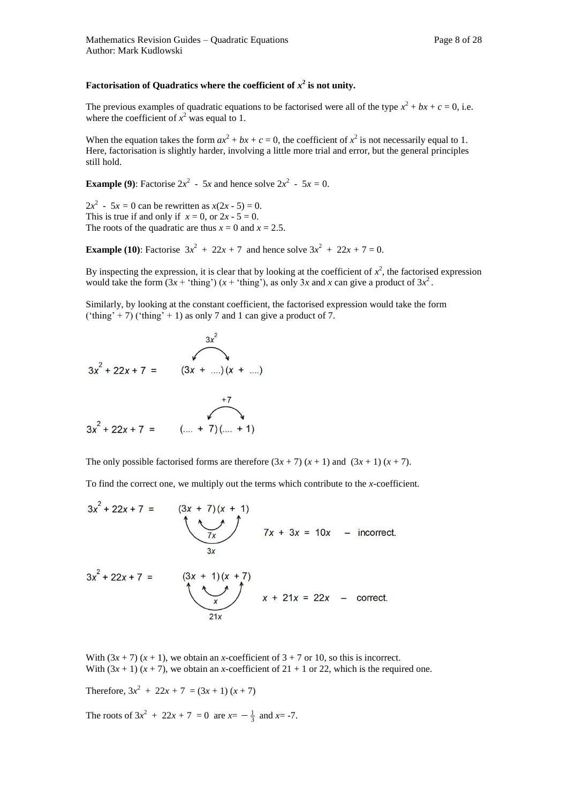#### **Factorisation of Quadratics where the coefficient of**  $x^2$  **is not unity.**

The previous examples of quadratic equations to be factorised were all of the type  $x^2 + bx + c = 0$ , i.e. where the coefficient of  $x^2$  was equal to 1.

When the equation takes the form  $ax^2 + bx + c = 0$ , the coefficient of  $x^2$  is not necessarily equal to 1. Here, factorisation is slightly harder, involving a little more trial and error, but the general principles still hold.

**Example (9):** Factorise  $2x^2 - 5x$  and hence solve  $2x^2 - 5x = 0$ .

2 $x^2 - 5x = 0$  can be rewritten as  $x(2x - 5) = 0$ . This is true if and only if  $x = 0$ , or  $2x - 5 = 0$ . The roots of the quadratic are thus  $x = 0$  and  $x = 2.5$ .

**Example (10):** Factorise  $3x^2 + 22x + 7$  and hence solve  $3x^2 + 22x + 7 = 0$ .

By inspecting the expression, it is clear that by looking at the coefficient of  $x^2$ , the factorised expression would take the form  $(3x + 'thing') (x + 'thing')$ , as only 3x and x can give a product of  $3x^2$ .

Similarly, by looking at the constant coefficient, the factorised expression would take the form ('thing' + 7) ('thing' + 1) as only 7 and 1 can give a product of 7.

$$
3x2 + 22x + 7 = (3x + ...)(x + ...)
$$
  

$$
3x2 + 22x + 7 = (... + 7)(... + 1)
$$

The only possible factorised forms are therefore  $(3x + 7)(x + 1)$  and  $(3x + 1)(x + 7)$ .

To find the correct one, we multiply out the terms which contribute to the *x-*coefficient.

$$
3x^{2} + 22x + 7 = (3x + 7)(x + 1)
$$
  
\n
$$
7x + 3x = 10x
$$
 - incorrect.  
\n
$$
3x^{2} + 22x + 7 = (3x + 1)(x + 7)
$$
  
\n
$$
x + 21x = 22x
$$
 - correct.

With  $(3x + 7)(x + 1)$ , we obtain an *x*-coefficient of  $3 + 7$  or 10, so this is incorrect. With  $(3x + 1)(x + 7)$ , we obtain an *x*-coefficient of  $21 + 1$  or 22, which is the required one.

Therefore,  $3x^2 + 22x + 7 = (3x + 1)(x + 7)$ 

The roots of  $3x^2 + 22x + 7 = 0$  are  $x = -\frac{1}{3}$  and  $x = -7$ .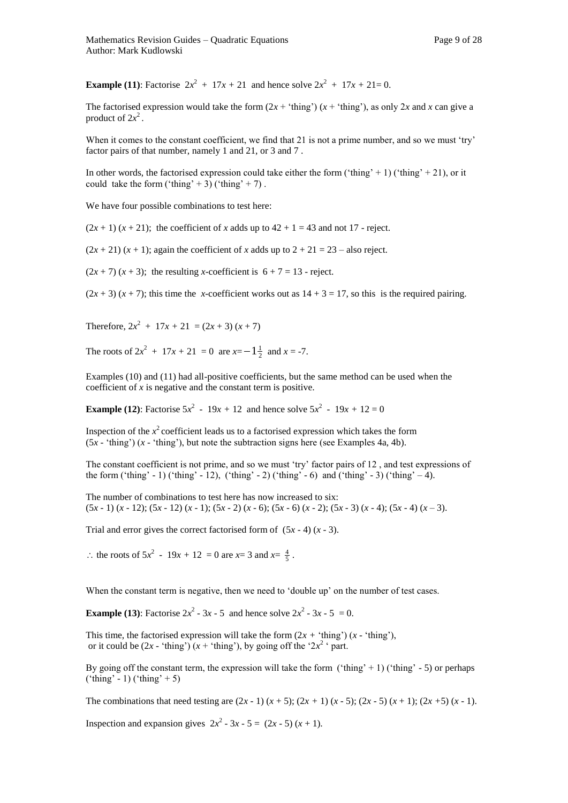**Example (11):** Factorise  $2x^2 + 17x + 21$  and hence solve  $2x^2 + 17x + 21 = 0$ .

The factorised expression would take the form  $(2x + 'thing') (x + 'thing')$ , as only  $2x$  and  $x$  can give a product of  $2x^2$ .

When it comes to the constant coefficient, we find that 21 is not a prime number, and so we must 'try' factor pairs of that number, namely 1 and 21, or 3 and 7 .

In other words, the factorised expression could take either the form ('thing' + 1) ('thing' + 21), or it could take the form ('thing' + 3) ('thing' + 7).

We have four possible combinations to test here:

 $(2x + 1)(x + 21)$ ; the coefficient of *x* adds up to  $42 + 1 = 43$  and not 17 - reject.

 $(2x + 21)(x + 1)$ ; again the coefficient of *x* adds up to  $2 + 21 = 23$  – also reject.

 $(2x + 7) (x + 3)$ ; the resulting *x*-coefficient is  $6 + 7 = 13$  - reject.

 $(2x + 3)$   $(x + 7)$ ; this time the *x*-coefficient works out as  $14 + 3 = 17$ , so this is the required pairing.

Therefore,  $2x^2 + 17x + 21 = (2x + 3)(x + 7)$ 

The roots of  $2x^2 + 17x + 21 = 0$  are  $x = -1\frac{1}{2}$  and  $x = -7$ .

Examples (10) and (11) had all-positive coefficients, but the same method can be used when the coefficient of *x* is negative and the constant term is positive.

**Example (12):** Factorise  $5x^2 - 19x + 12$  and hence solve  $5x^2 - 19x + 12 = 0$ 

Inspection of the  $x^2$  coefficient leads us to a factorised expression which takes the form  $(5x - 'thing')$   $(x - 'thing')$ , but note the subtraction signs here (see Examples 4a, 4b).

The constant coefficient is not prime, and so we must 'try' factor pairs of 12 , and test expressions of the form ('thing' - 1) ('thing' - 12), ('thing' - 2) ('thing' - 6) and ('thing' - 3) ('thing' - 4).

The number of combinations to test here has now increased to six: (5*x -* 1) (*x* - 12); (5*x -* 12) (*x* - 1); (5*x -* 2) (*x* - 6); (5*x -* 6) (*x* - 2); (5*x -* 3) (*x* - 4); (5*x -* 4) (*x* – 3).

Trial and error gives the correct factorised form of  $(5x - 4)(x - 3)$ .

: the roots of  $5x^2 - 19x + 12 = 0$  are  $x = 3$  and  $x = \frac{4}{5}$ .

When the constant term is negative, then we need to 'double up' on the number of test cases.

**Example (13):** Factorise  $2x^2 - 3x - 5$  and hence solve  $2x^2 - 3x - 5 = 0$ .

This time, the factorised expression will take the form  $(2x + 't\text{hing}')$  (*x* - 'thing'), or it could be  $(2x - 'thing') (x + 'thing')$ , by going off the '2 $x^2$ ' part.

By going off the constant term, the expression will take the form ('thing' + 1) ('thing' - 5) or perhaps  $(\text{'thing' - 1}) (\text{'thing'} + 5)$ 

The combinations that need testing are  $(2x - 1)(x + 5)$ ;  $(2x + 1)(x - 5)$ ;  $(2x - 5)(x + 1)$ ;  $(2x + 5)(x - 1)$ .

Inspection and expansion gives  $2x^2 - 3x - 5 = (2x - 5)(x + 1)$ .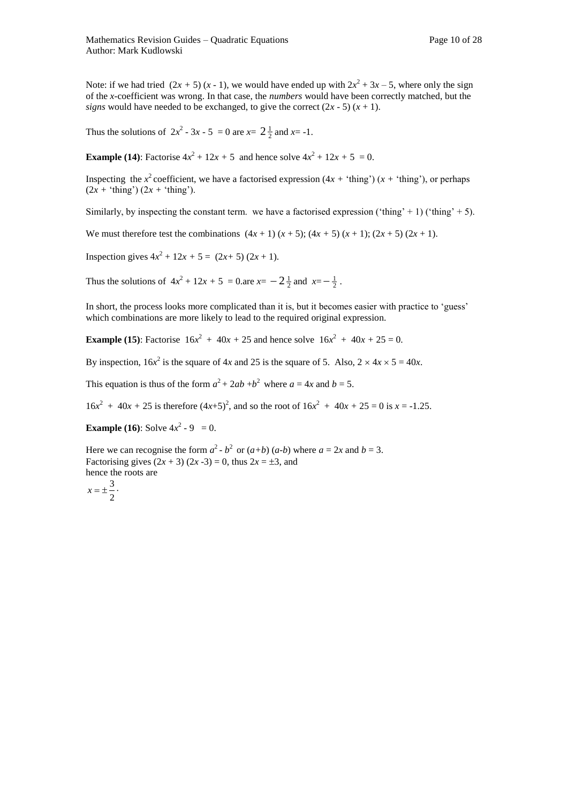Note: if we had tried  $(2x + 5) (x - 1)$ , we would have ended up with  $2x^2 + 3x - 5$ , where only the sign of the *x-*coefficient was wrong. In that case, the *numbers* would have been correctly matched, but the *signs* would have needed to be exchanged, to give the correct  $(2x - 5)(x + 1)$ .

Thus the solutions of  $2x^2 - 3x - 5 = 0$  are  $x = 2\frac{1}{2}$  and  $x = -1$ .

**Example (14):** Factorise  $4x^2 + 12x + 5$  and hence solve  $4x^2 + 12x + 5 = 0$ .

Inspecting the  $x^2$  coefficient, we have a factorised expression  $(4x + 'thing') (x + 'thing')$ , or perhaps  $(2x + 'thing') (2x + 'thing')$ .

Similarly, by inspecting the constant term. we have a factorised expression ('thing' + 1) ('thing' + 5).

We must therefore test the combinations  $(4x + 1)(x + 5)$ ;  $(4x + 5)(x + 1)$ ;  $(2x + 5)(2x + 1)$ .

Inspection gives  $4x^2 + 12x + 5 = (2x+5)(2x+1)$ .

Thus the solutions of  $4x^2 + 12x + 5 = 0$ .are  $x = -2\frac{1}{2}$  and  $x = -\frac{1}{2}$ .

In short, the process looks more complicated than it is, but it becomes easier with practice to 'guess' which combinations are more likely to lead to the required original expression.

**Example (15):** Factorise  $16x^2 + 40x + 25$  and hence solve  $16x^2 + 40x + 25 = 0$ .

By inspection,  $16x^2$  is the square of 4*x* and 25 is the square of 5. Also,  $2 \times 4x \times 5 = 40x$ .

This equation is thus of the form  $a^2 + 2ab + b^2$  where  $a = 4x$  and  $b = 5$ .

 $16x^2 + 40x + 25$  is therefore  $(4x+5)^2$ , and so the root of  $16x^2 + 40x + 25 = 0$  is  $x = -1.25$ .

**Example (16):** Solve  $4x^2 - 9 = 0$ .

Here we can recognise the form  $a^2 - b^2$  or  $(a+b)(a-b)$  where  $a = 2x$  and  $b = 3$ . Factorising gives  $(2x + 3) (2x - 3) = 0$ , thus  $2x = \pm 3$ , and hence the roots are  $x = \pm \frac{3}{2}$ .

$$
x=\pm\frac{1}{2}
$$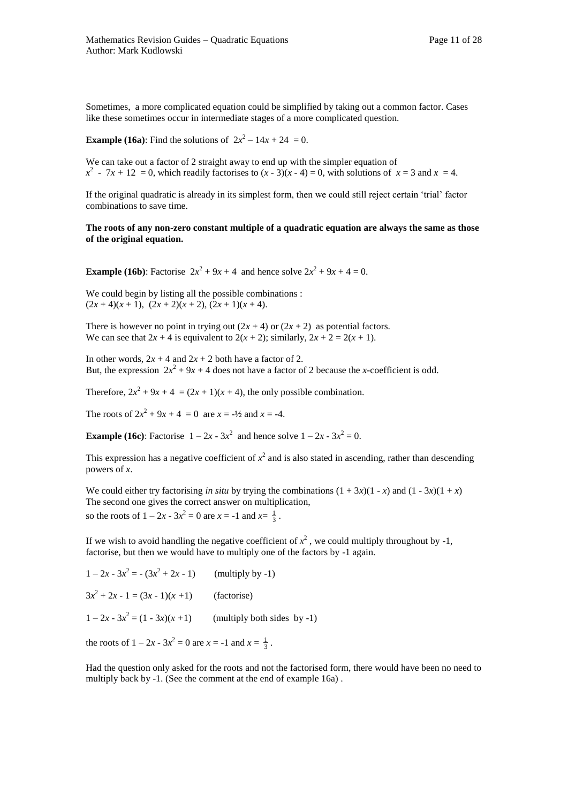Sometimes, a more complicated equation could be simplified by taking out a common factor. Cases like these sometimes occur in intermediate stages of a more complicated question.

**Example (16a):** Find the solutions of  $2x^2 - 14x + 24 = 0$ .

We can take out a factor of 2 straight away to end up with the simpler equation of  $x^2$  - 7*x* + 12 = 0, which readily factorises to  $(x - 3)(x - 4) = 0$ , with solutions of  $x = 3$  and  $x = 4$ .

If the original quadratic is already in its simplest form, then we could still reject certain 'trial' factor combinations to save time.

#### **The roots of any non-zero constant multiple of a quadratic equation are always the same as those of the original equation.**

**Example (16b):** Factorise  $2x^2 + 9x + 4$  and hence solve  $2x^2 + 9x + 4 = 0$ .

We could begin by listing all the possible combinations :  $(2x+4)(x+1), (2x+2)(x+2), (2x+1)(x+4).$ 

There is however no point in trying out  $(2x + 4)$  or  $(2x + 2)$  as potential factors. We can see that  $2x + 4$  is equivalent to  $2(x + 2)$ ; similarly,  $2x + 2 = 2(x + 1)$ .

In other words,  $2x + 4$  and  $2x + 2$  both have a factor of 2. But, the expression  $2x^2 + 9x + 4$  does not have a factor of 2 because the *x*-coefficient is odd.

Therefore,  $2x^2 + 9x + 4 = (2x + 1)(x + 4)$ , the only possible combination.

The roots of  $2x^2 + 9x + 4 = 0$  are  $x = -\frac{1}{2}$  and  $x = -4$ .

**Example (16c):** Factorise  $1 - 2x - 3x^2$  and hence solve  $1 - 2x - 3x^2 = 0$ .

This expression has a negative coefficient of  $x^2$  and is also stated in ascending, rather than descending powers of *x*.

We could either try factorising *in situ* by trying the combinations  $(1 + 3x)(1 - x)$  and  $(1 - 3x)(1 + x)$ The second one gives the correct answer on multiplication, so the roots of  $1 - 2x - 3x^2 = 0$  are  $x = -1$  and  $x = \frac{1}{3}$ .

If we wish to avoid handling the negative coefficient of  $x^2$ , we could multiply throughout by -1, factorise, but then we would have to multiply one of the factors by -1 again.

| $1-2x-3x^2 = -(3x^2+2x-1)$        | (multiply by $-1$ )         |
|-----------------------------------|-----------------------------|
| $3x^2 + 2x - 1 = (3x - 1)(x + 1)$ | (factorise)                 |
| $1-2x-3x^2 = (1-3x)(x+1)$         | (multiply both sides by -1) |

the roots of  $1 - 2x - 3x^2 = 0$  are  $x = -1$  and  $x = \frac{1}{3}$ .

Had the question only asked for the roots and not the factorised form, there would have been no need to multiply back by -1. (See the comment at the end of example 16a) .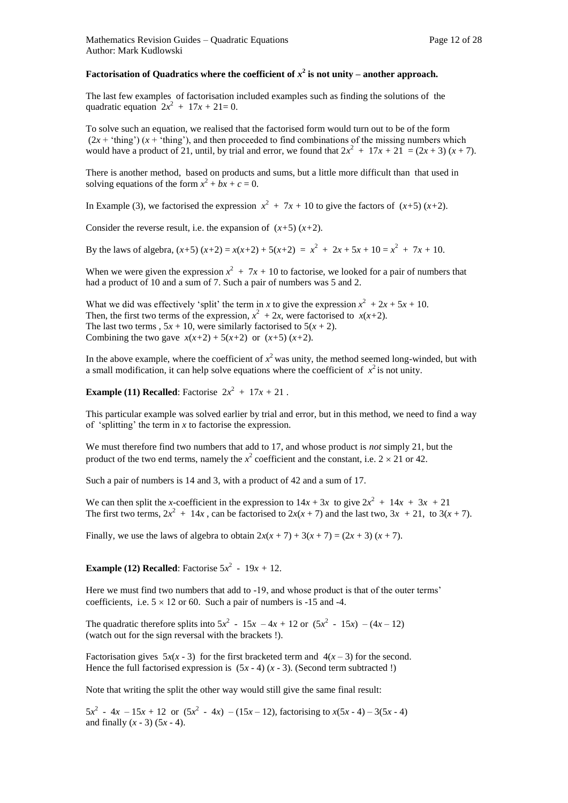#### Factorisation of Quadratics where the coefficient of  $x^2$  is not unity – another approach.

The last few examples of factorisation included examples such as finding the solutions of the quadratic equation  $2x^2 + 17x + 21 = 0$ .

To solve such an equation, we realised that the factorised form would turn out to be of the form  $(2x + 'thing') (x + 'thing')$ , and then proceeded to find combinations of the missing numbers which would have a product of 21, until, by trial and error, we found that  $2x^2 + 17x + 21 = (2x + 3)(x + 7)$ .

There is another method, based on products and sums, but a little more difficult than that used in solving equations of the form  $x^2 + bx + c = 0$ .

In Example (3), we factorised the expression  $x^2 + 7x + 10$  to give the factors of  $(x+5)(x+2)$ .

Consider the reverse result, i.e. the expansion of  $(x+5)(x+2)$ .

By the laws of algebra,  $(x+5)(x+2) = x(x+2) + 5(x+2) = x^2 + 2x + 5x + 10 = x^2 + 7x + 10$ .

When we were given the expression  $x^2 + 7x + 10$  to factorise, we looked for a pair of numbers that had a product of 10 and a sum of 7. Such a pair of numbers was 5 and 2.

What we did was effectively 'split' the term in *x* to give the expression  $x^2 + 2x + 5x + 10$ . Then, the first two terms of the expression,  $x^2 + 2x$ , were factorised to  $x(x+2)$ . The last two terms ,  $5x + 10$ , were similarly factorised to  $5(x + 2)$ . Combining the two gave  $x(x+2) + 5(x+2)$  or  $(x+5)(x+2)$ .

In the above example, where the coefficient of  $x^2$  was unity, the method seemed long-winded, but with a small modification, it can help solve equations where the coefficient of  $x^2$  is not unity.

**Example (11) Recalled:** Factorise  $2x^2 + 17x + 21$ .

This particular example was solved earlier by trial and error, but in this method, we need to find a way of 'splitting' the term in *x* to factorise the expression.

We must therefore find two numbers that add to 17, and whose product is *not* simply 21, but the product of the two end terms, namely the  $x^2$  coefficient and the constant, i.e.  $2 \times 21$  or 42.

Such a pair of numbers is 14 and 3, with a product of 42 and a sum of 17.

We can then split the *x*-coefficient in the expression to  $14x + 3x$  to give  $2x^2 + 14x + 3x + 21$ The first two terms,  $2x^2 + 14x$ , can be factorised to  $2x(x + 7)$  and the last two,  $3x + 21$ , to  $3(x + 7)$ .

Finally, we use the laws of algebra to obtain  $2x(x + 7) + 3(x + 7) = (2x + 3)(x + 7)$ .

**Example (12) Recalled:** Factorise  $5x^2 - 19x + 12$ .

Here we must find two numbers that add to -19, and whose product is that of the outer terms' coefficients, i.e.  $5 \times 12$  or 60. Such a pair of numbers is -15 and -4.

The quadratic therefore splits into  $5x^2 - 15x - 4x + 12$  or  $(5x^2 - 15x) - (4x - 12)$ (watch out for the sign reversal with the brackets !).

Factorisation gives  $5x(x - 3)$  for the first bracketed term and  $4(x - 3)$  for the second. Hence the full factorised expression is  $(5x - 4)(x - 3)$ . (Second term subtracted !)

Note that writing the split the other way would still give the same final result:

 $5x^2 - 4x - 15x + 12$  or  $(5x^2 - 4x) - (15x - 12)$ , factorising to  $x(5x - 4) - 3(5x - 4)$ and finally  $(x - 3) (5x - 4)$ .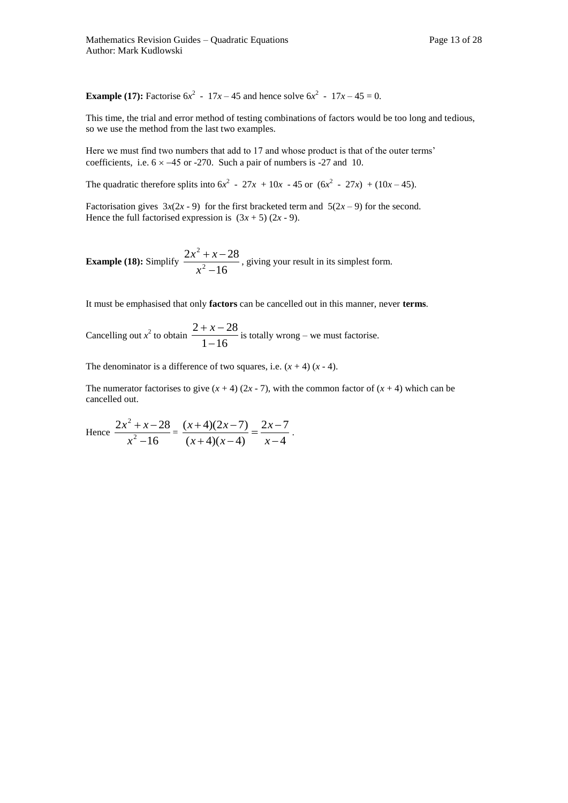**Example (17):** Factorise  $6x^2 - 17x - 45$  and hence solve  $6x^2 - 17x - 45 = 0$ .

This time, the trial and error method of testing combinations of factors would be too long and tedious, so we use the method from the last two examples.

Here we must find two numbers that add to 17 and whose product is that of the outer terms' coefficients, i.e.  $6 \times -45$  or -270. Such a pair of numbers is -27 and 10.

The quadratic therefore splits into  $6x^2 - 27x + 10x - 45$  or  $(6x^2 - 27x) + (10x - 45)$ .

Factorisation gives  $3x(2x - 9)$  for the first bracketed term and  $5(2x - 9)$  for the second. Hence the full factorised expression is  $(3x + 5) (2x - 9)$ .

**Example (18):** Simplify  $\frac{2x+1}{x^2-16}$  $2x^2 + x - 28$ 2 2  $\overline{a}$  $+ x$ *x*  $\frac{x^2 + x - 28}{x^2 + x - 28}$ , giving your result in its simplest form.

It must be emphasised that only **factors** can be cancelled out in this manner, never **terms**.

Cancelling out  $x^2$  to obtain  $\frac{2+x}{1-16}$  $2 + x - 28$  $\overline{a}$  $\frac{+ x - 28}{+ x - 28}$  is totally wrong – we must factorise.

The denominator is a difference of two squares, i.e.  $(x + 4)$   $(x - 4)$ .

The numerator factorises to give  $(x + 4)$   $(2x - 7)$ , with the common factor of  $(x + 4)$  which can be cancelled out.

Hence 
$$
\frac{2x^2 + x - 28}{x^2 - 16} = \frac{(x+4)(2x-7)}{(x+4)(x-4)} = \frac{2x-7}{x-4}.
$$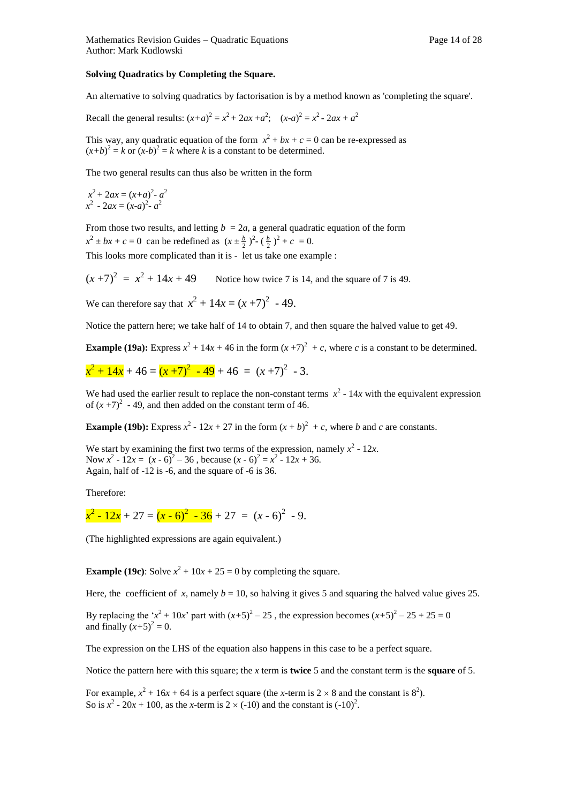#### **Solving Quadratics by Completing the Square.**

An alternative to solving quadratics by factorisation is by a method known as 'completing the square'.

Recall the general results:  $(x+a)^2 = x^2 + 2ax + a^2$ ;  $(x-a)^2 = x^2 - 2ax + a^2$ 

This way, any quadratic equation of the form  $x^2 + bx + c = 0$  can be re-expressed as  $(x+b)^2 = k$  or  $(x-b)^2 = k$  where *k* is a constant to be determined.

The two general results can thus also be written in the form

$$
x^{2} + 2ax = (x+a)^{2} - a^{2}
$$
  

$$
x^{2} - 2ax = (x-a)^{2} - a^{2}
$$

From those two results, and letting  $b = 2a$ , a general quadratic equation of the form  $x^2 \pm bx + c = 0$  can be redefined as  $(x \pm \frac{b}{2})^2 - (\frac{b}{2})^2 + c = 0$ . This looks more complicated than it is - let us take one example :

 $(x+7)^2 = x^2$ Notice how twice 7 is 14, and the square of 7 is 49.

We can therefore say that  $x^2 + 14x = (x + 7)^2 - 49$ .

Notice the pattern here; we take half of 14 to obtain 7, and then square the halved value to get 49.

**Example (19a):** Express  $x^2 + 14x + 46$  in the form  $(x+7)^2 + c$ , where *c* is a constant to be determined.

$$
x^2 + 14x + 46 = (x + 7)^2 - 49 + 46 = (x + 7)^2 - 3.
$$

We had used the earlier result to replace the non-constant terms  $x^2$  - 14*x* with the equivalent expression of  $(x+7)^2$  - 49, and then added on the constant term of 46.

**Example (19b):** Express  $x^2 - 12x + 27$  in the form  $(x + b)^2 + c$ , where *b* and *c* are constants.

We start by examining the first two terms of the expression, namely  $x^2 - 12x$ . Now  $x^2 - 12x = (x - 6)^2 - 36$ , because  $(x - 6)^2 = x^2 - 12x + 36$ . Again, half of -12 is -6, and the square of -6 is 36.

Therefore:

$$
x^2 - 12x + 27 = (x - 6)^2 - 36 + 27 = (x - 6)^2 - 9.
$$

(The highlighted expressions are again equivalent.)

**Example (19c):** Solve  $x^2 + 10x + 25 = 0$  by completing the square.

Here, the coefficient of *x*, namely  $b = 10$ , so halving it gives 5 and squaring the halved value gives 25.

By replacing the ' $x^2 + 10x$ ' part with  $(x+5)^2 - 25$ , the expression becomes  $(x+5)^2 - 25 + 25 = 0$ and finally  $(x+5)^2 = 0$ .

The expression on the LHS of the equation also happens in this case to be a perfect square.

Notice the pattern here with this square; the *x* term is **twice** 5 and the constant term is the **square** of 5.

For example,  $x^2 + 16x + 64$  is a perfect square (the *x*-term is  $2 \times 8$  and the constant is  $8^2$ ). So is  $x^2$  - 20*x* + 100, as the *x*-term is 2  $\times$  (-10) and the constant is (-10)<sup>2</sup>.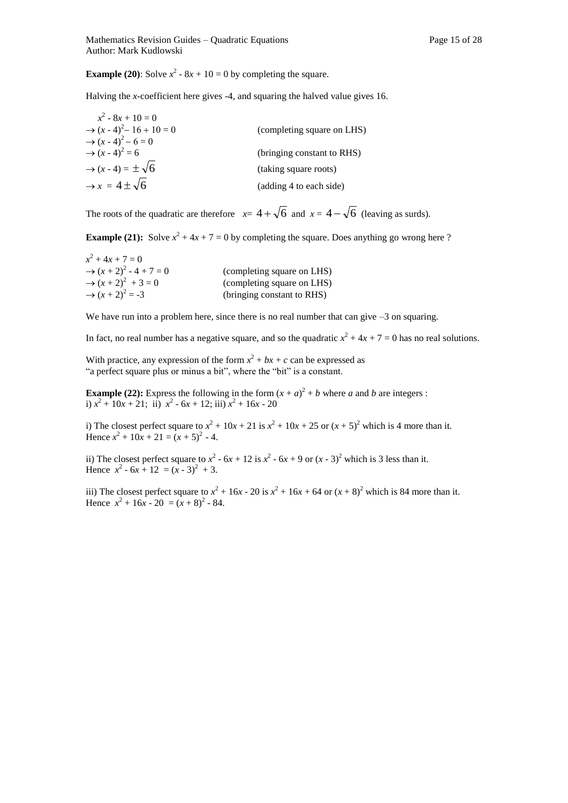**Example (20):** Solve  $x^2 - 8x + 10 = 0$  by completing the square.

Halving the *x-*coefficient here gives -4, and squaring the halved value gives 16.

| $x^2 - 8x + 10 = 0$                     |                            |
|-----------------------------------------|----------------------------|
| $\rightarrow$ $(x - 4)^2 - 16 + 10 = 0$ | (completing square on LHS) |
| $\rightarrow (x-4)^2 - 6 = 0$           |                            |
| $\rightarrow (x-4)^2 = 6$               | (bringing constant to RHS) |
| $\rightarrow$ (x - 4) = $\pm \sqrt{6}$  | (taking square roots)      |
| $\rightarrow$ x = 4 ± $\sqrt{6}$        | (adding 4 to each side)    |

The roots of the quadratic are therefore  $x=4+\sqrt{6}$  and  $x=4-\sqrt{6}$  (leaving as surds).

**Example (21):** Solve  $x^2 + 4x + 7 = 0$  by completing the square. Does anything go wrong here ?

| $x^2 + 4x + 7 = 0$                    |                            |
|---------------------------------------|----------------------------|
| $\rightarrow$ $(x + 2)^2 - 4 + 7 = 0$ | (completing square on LHS) |
| $\rightarrow (x+2)^2 + 3 = 0$         | (completing square on LHS) |
| $\rightarrow$ $(x + 2)^2 = -3$        | (bringing constant to RHS) |

We have run into a problem here, since there is no real number that can give  $-3$  on squaring.

In fact, no real number has a negative square, and so the quadratic  $x^2 + 4x + 7 = 0$  has no real solutions.

With practice, any expression of the form  $x^2 + bx + c$  can be expressed as "a perfect square plus or minus a bit", where the "bit" is a constant.

**Example (22):** Express the following in the form  $(x + a)^2 + b$  where *a* and *b* are integers : i)  $x^2 + 10x + 21$ ; ii)  $x^2 - 6x + 12$ ; iii)  $x^2 + 16x - 20$ 

i) The closest perfect square to  $x^2 + 10x + 21$  is  $x^2 + 10x + 25$  or  $(x + 5)^2$  which is 4 more than it. Hence  $x^2 + 10x + 21 = (x + 5)^2 - 4$ .

ii) The closest perfect square to  $x^2 - 6x + 12$  is  $x^2 - 6x + 9$  or  $(x - 3)^2$  which is 3 less than it. Hence  $x^2 - 6x + 12 = (x - 3)^2 + 3$ .

iii) The closest perfect square to  $x^2 + 16x - 20$  is  $x^2 + 16x + 64$  or  $(x + 8)^2$  which is 84 more than it. Hence  $x^2 + 16x - 20 = (x + 8)^2 - 84$ .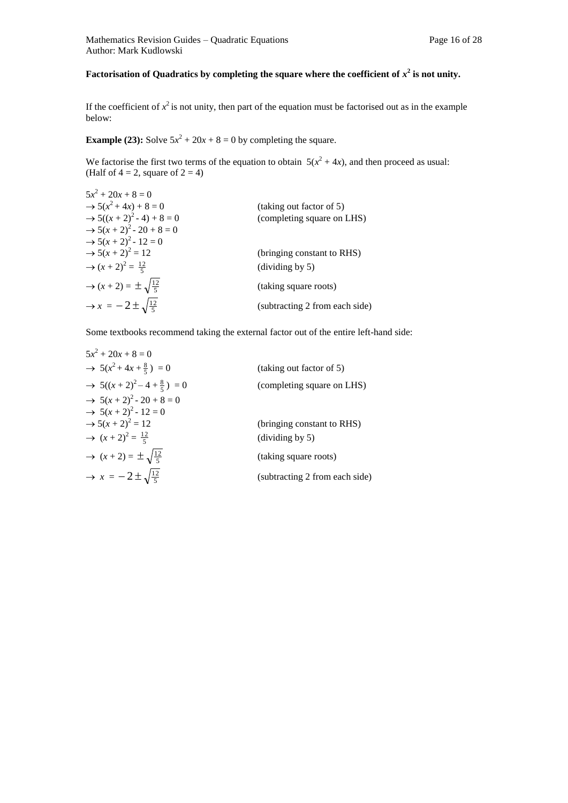#### Factorisation of Quadratics by completing the square where the coefficient of  $x^2$  is not unity.

If the coefficient of  $x^2$  is not unity, then part of the equation must be factorised out as in the example below:

**Example (23):** Solve  $5x^2 + 20x + 8 = 0$  by completing the square.

We factorise the first two terms of the equation to obtain  $5(x^2 + 4x)$ , and then proceed as usual: (Half of  $4 = 2$ , square of  $2 = 4$ )

| $5x^2 + 20x + 8 = 0$                             |                                      |
|--------------------------------------------------|--------------------------------------|
| $\rightarrow 5(x^2+4x)+8=0$                      | (taking out factor of 5)             |
| $\rightarrow 5((x + 2)^2 - 4) + 8 = 0$           | (completing square on LHS)           |
| $\rightarrow$ 5(x + 2) <sup>2</sup> - 20 + 8 = 0 |                                      |
| $\rightarrow$ 5(x + 2) <sup>2</sup> - 12 = 0     |                                      |
| $\rightarrow 5(x+2)^2 = 12$                      | (bringing constant to RHS)           |
| $\rightarrow$ $(x + 2)^2 = \frac{12}{5}$         | $\left(\text{dividing by } 5\right)$ |
| $\rightarrow$ $(x+2) = \pm \sqrt{\frac{12}{5}}$  | (taking square roots)                |
| $\rightarrow$ x = $-2 \pm \sqrt{\frac{12}{5}}$   | (subtracting 2 from each side)       |

Some textbooks recommend taking the external factor out of the entire left-hand side:

| $5x^2 + 20x + 8 = 0$                                       |                                      |
|------------------------------------------------------------|--------------------------------------|
| $\rightarrow$ 5(x <sup>2</sup> +4x+ $\frac{8}{5}$ ) = 0    | (taking out factor of 5)             |
| $\rightarrow$ 5((x+2) <sup>2</sup> -4+ $\frac{8}{5}$ ) = 0 | (completing square on LHS)           |
| $\rightarrow$ 5(x + 2) <sup>2</sup> - 20 + 8 = 0           |                                      |
| $\rightarrow$ 5(x + 2) <sup>2</sup> - 12 = 0               |                                      |
| $\rightarrow 5(x+2)^2 = 12$                                | (bringing constant to RHS)           |
| $\rightarrow$ $(x+2)^2 = \frac{12}{5}$                     | $\left(\text{dividing by } 5\right)$ |
| $\rightarrow$ $(x+2) = \pm \sqrt{\frac{12}{5}}$            | (taking square roots)                |
| $\rightarrow$ x = $-2 \pm \sqrt{\frac{12}{5}}$             | (subtracting 2 from each side)       |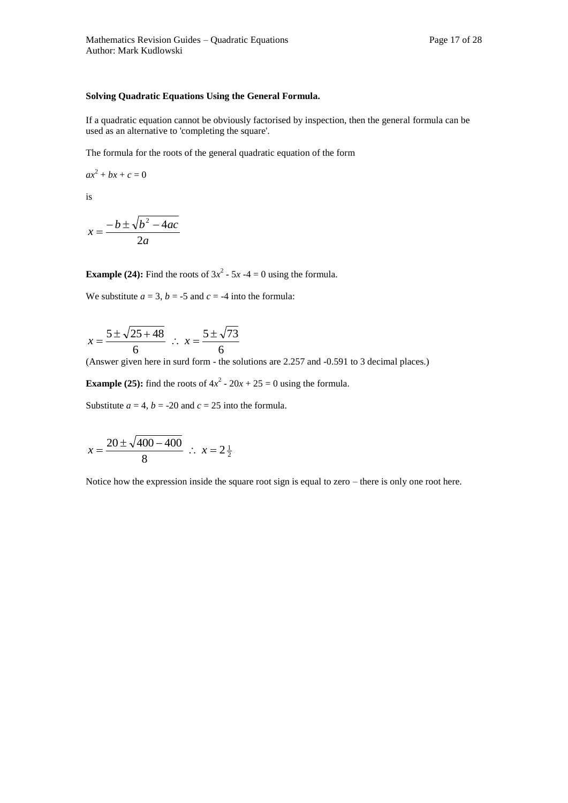#### **Solving Quadratic Equations Using the General Formula.**

If a quadratic equation cannot be obviously factorised by inspection, then the general formula can be used as an alternative to 'completing the square'.

The formula for the roots of the general quadratic equation of the form

 $ax^2 + bx + c = 0$ 

is

$$
x = \frac{-b \pm \sqrt{b^2 - 4ac}}{2a}
$$

**Example (24):** Find the roots of  $3x^2 - 5x - 4 = 0$  using the formula.

We substitute  $a = 3$ ,  $b = -5$  and  $c = -4$  into the formula:

$$
x = \frac{5 \pm \sqrt{25 + 48}}{6} \; \therefore \; x = \frac{5 \pm \sqrt{73}}{6}
$$

(Answer given here in surd form - the solutions are 2.257 and -0.591 to 3 decimal places.)

**Example (25):** find the roots of  $4x^2 - 20x + 25 = 0$  using the formula.

Substitute  $a = 4$ ,  $b = -20$  and  $c = 25$  into the formula.

$$
x = \frac{20 \pm \sqrt{400 - 400}}{8}
$$
  $\therefore$   $x = 2\frac{1}{2}$ 

Notice how the expression inside the square root sign is equal to zero – there is only one root here.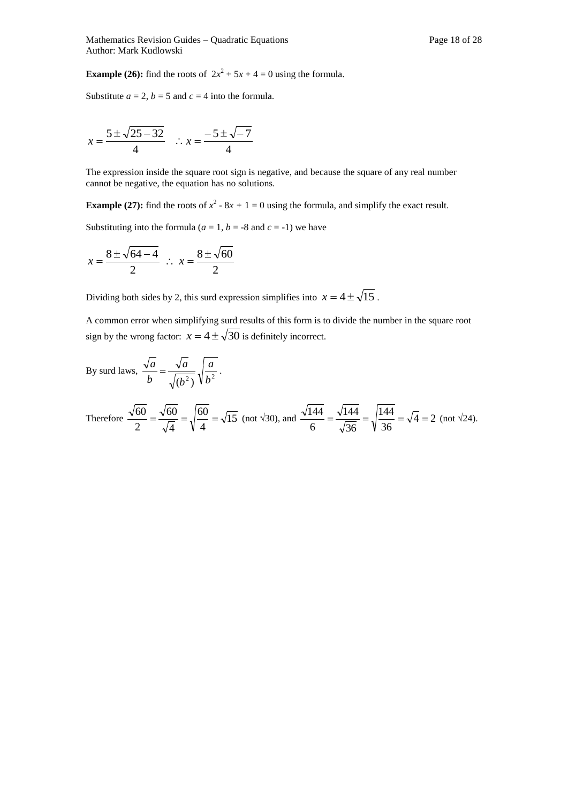**Example (26):** find the roots of  $2x^2 + 5x + 4 = 0$  using the formula.

Substitute  $a = 2$ ,  $b = 5$  and  $c = 4$  into the formula.

$$
x = \frac{5 \pm \sqrt{25 - 32}}{4} \quad \therefore \ x = \frac{-5 \pm \sqrt{-7}}{4}
$$

The expression inside the square root sign is negative, and because the square of any real number cannot be negative, the equation has no solutions.

**Example (27):** find the roots of  $x^2 - 8x + 1 = 0$  using the formula, and simplify the exact result.

Substituting into the formula ( $a = 1$ ,  $b = -8$  and  $c = -1$ ) we have

$$
x = \frac{8 \pm \sqrt{64 - 4}}{2} \; \therefore \; x = \frac{8 \pm \sqrt{60}}{2}
$$

Dividing both sides by 2, this surd expression simplifies into  $x = 4 \pm \sqrt{15}$ .

A common error when simplifying surd results of this form is to divide the number in the square root sign by the wrong factor:  $x = 4 \pm \sqrt{30}$  is definitely incorrect.

By surd laws, 
$$
\frac{\sqrt{a}}{b} = \frac{\sqrt{a}}{\sqrt{(b^2)}} \sqrt{\frac{a}{b^2}}
$$
.

Therefore 
$$
\frac{\sqrt{60}}{2} = \frac{\sqrt{60}}{\sqrt{4}} = \sqrt{\frac{60}{4}} = \sqrt{15}
$$
 (not  $\sqrt{30}$ ), and  $\frac{\sqrt{144}}{6} = \frac{\sqrt{144}}{\sqrt{36}} = \sqrt{\frac{144}{36}} = \sqrt{4} = 2$  (not  $\sqrt{24}$ ).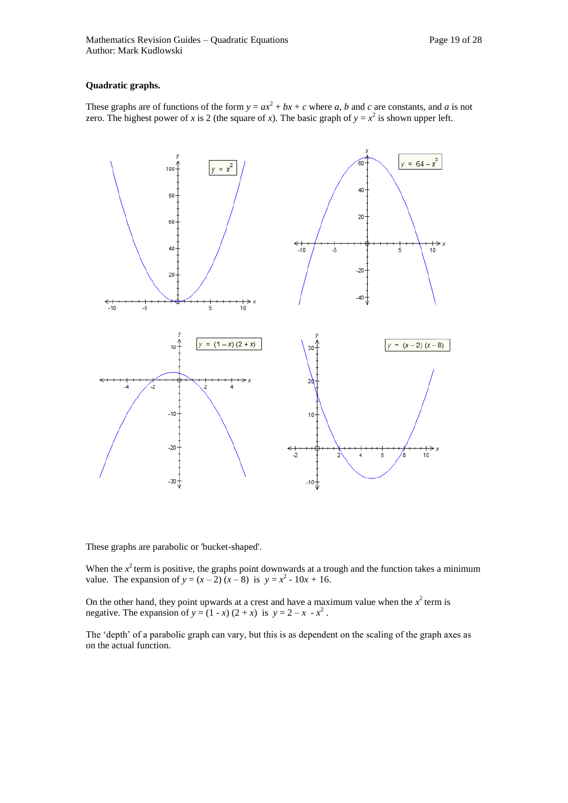#### **Quadratic graphs.**

These graphs are of functions of the form  $y = ax^2 + bx + c$  where *a*, *b* and *c* are constants, and *a* is not zero. The highest power of *x* is 2 (the square of *x*). The basic graph of  $y = x^2$  is shown upper left.



These graphs are parabolic or 'bucket-shaped'.

When the  $x^2$  term is positive, the graphs point downwards at a trough and the function takes a minimum value. The expansion of  $y = (x - 2)(x - 8)$  is  $y = x^2 - 10x + 16$ .

On the other hand, they point upwards at a crest and have a maximum value when the  $x^2$  term is negative. The expansion of  $y = (1 - x)(2 + x)$  is  $y = 2 - x - x^2$ .

The 'depth' of a parabolic graph can vary, but this is as dependent on the scaling of the graph axes as on the actual function.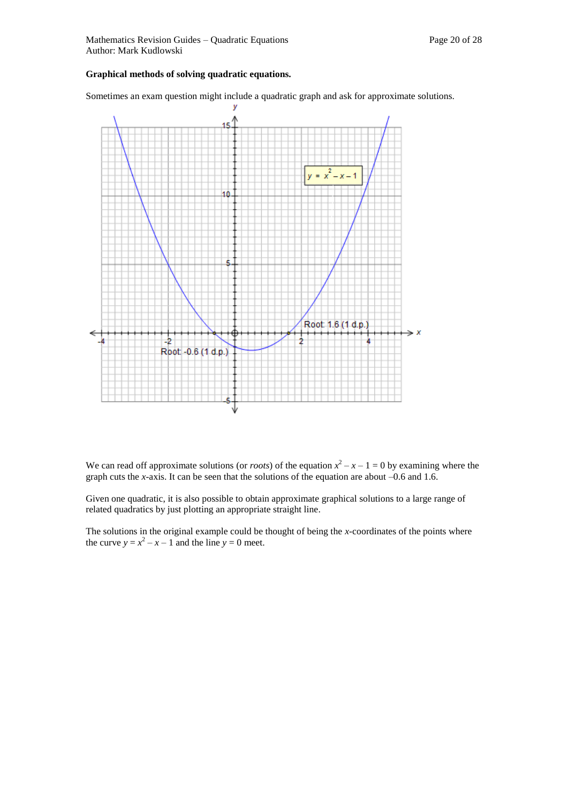#### **Graphical methods of solving quadratic equations.**

Sometimes an exam question might include a quadratic graph and ask for approximate solutions.



We can read off approximate solutions (or *roots*) of the equation  $x^2 - x - 1 = 0$  by examining where the graph cuts the *x*-axis. It can be seen that the solutions of the equation are about –0.6 and 1.6.

Given one quadratic, it is also possible to obtain approximate graphical solutions to a large range of related quadratics by just plotting an appropriate straight line.

The solutions in the original example could be thought of being the *x-*coordinates of the points where the curve  $y = x^2 - x - 1$  and the line  $y = 0$  meet.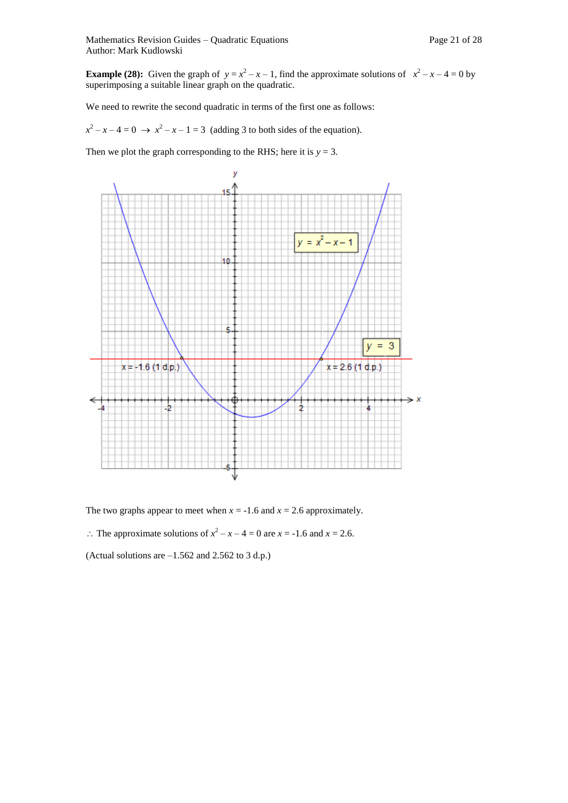Mathematics Revision Guides – Quadratic Equations Page 21 of 28 Author: Mark Kudlowski

**Example (28):** Given the graph of  $y = x^2 - x - 1$ , find the approximate solutions of  $x^2 - x - 4 = 0$  by superimposing a suitable linear graph on the quadratic.

We need to rewrite the second quadratic in terms of the first one as follows:

 $x^2 - x - 4 = 0 \rightarrow x^2 - x - 1 = 3$  (adding 3 to both sides of the equation).

Then we plot the graph corresponding to the RHS; here it is  $y = 3$ .



The two graphs appear to meet when  $x = -1.6$  and  $x = 2.6$  approximately.

 $\therefore$  The approximate solutions of  $x^2 - x - 4 = 0$  are  $x = -1.6$  and  $x = 2.6$ .

(Actual solutions are –1.562 and 2.562 to 3 d.p.)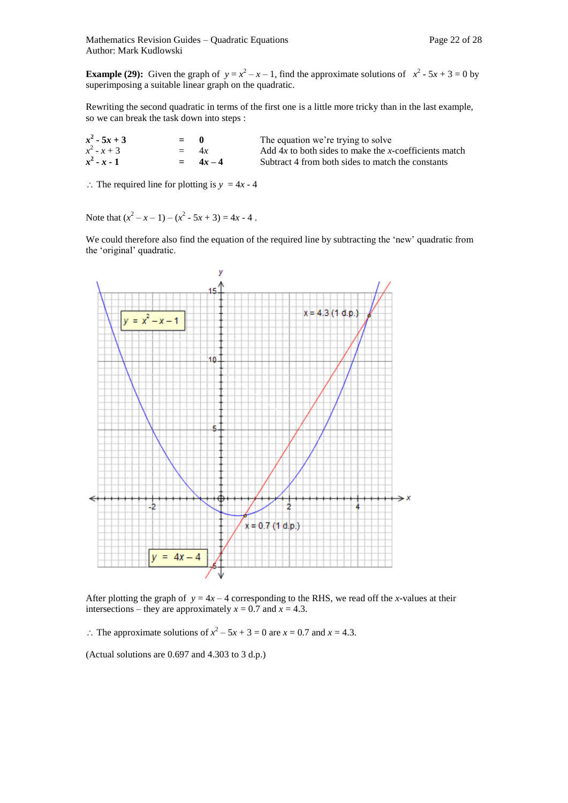**Example (29):** Given the graph of  $y = x^2 - x - 1$ , find the approximate solutions of  $x^2 - 5x + 3 = 0$  by superimposing a suitable linear graph on the quadratic.

Rewriting the second quadratic in terms of the first one is a little more tricky than in the last example, so we can break the task down into steps :

| $x^2 - 5x + 3$ | $= 0$  |          | The equation we're trying to solve                      |
|----------------|--------|----------|---------------------------------------------------------|
| $x^2 - x + 3$  | $=$ 4r |          | Add $4x$ to both sides to make the x-coefficients match |
| $x^2 - x - 1$  |        | $= 4r-4$ | Subtract 4 from both sides to match the constants       |

 $\therefore$  The required line for plotting is  $y = 4x - 4$ 

Note that  $(x^2 - x - 1) - (x^2 - 5x + 3) = 4x - 4$ .

We could therefore also find the equation of the required line by subtracting the 'new' quadratic from the 'original' quadratic.



After plotting the graph of  $y = 4x - 4$  corresponding to the RHS, we read off the *x*-values at their intersections – they are approximately  $x = 0.7$  and  $x = 4.3$ .

 $\therefore$  The approximate solutions of  $x^2 - 5x + 3 = 0$  are  $x = 0.7$  and  $x = 4.3$ .

(Actual solutions are 0.697 and 4.303 to 3 d.p.)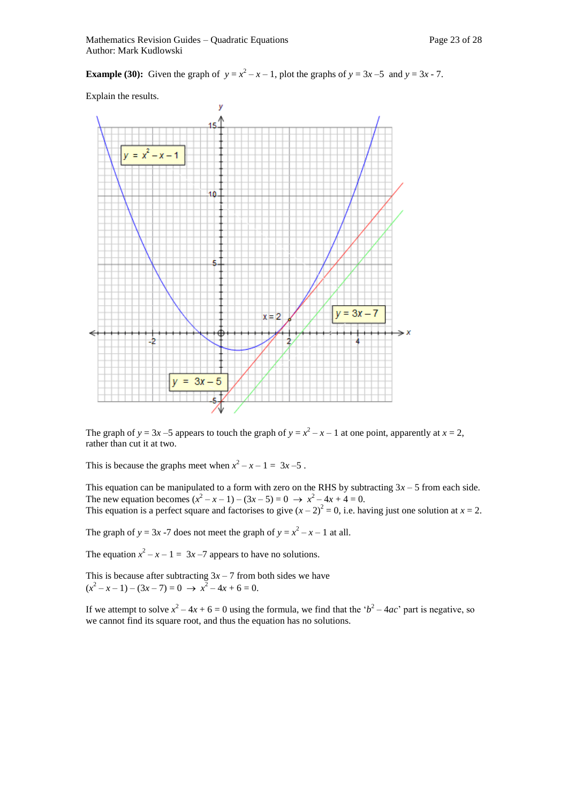**Example (30):** Given the graph of  $y = x^2 - x - 1$ , plot the graphs of  $y = 3x - 5$  and  $y = 3x - 7$ .

Explain the results.



The graph of  $y = 3x - 5$  appears to touch the graph of  $y = x^2 - x - 1$  at one point, apparently at  $x = 2$ , rather than cut it at two.

This is because the graphs meet when  $x^2 - x - 1 = 3x - 5$ .

This equation can be manipulated to a form with zero on the RHS by subtracting  $3x - 5$  from each side. The new equation becomes  $(x^2 - x - 1) - (3x - 5) = 0 \rightarrow x^2 - 4x + 4 = 0$ . This equation is a perfect square and factorises to give  $(x - 2)^2 = 0$ , i.e. having just one solution at  $x = 2$ .

The graph of  $y = 3x - 7$  does not meet the graph of  $y = x^2 - x - 1$  at all.

The equation  $x^2 - x - 1 = 3x - 7$  appears to have no solutions.

This is because after subtracting  $3x - 7$  from both sides we have  $(x^2 - x - 1) - (3x - 7) = 0 \rightarrow x^2 - 4x + 6 = 0.$ 

If we attempt to solve  $x^2 - 4x + 6 = 0$  using the formula, we find that the ' $b^2 - 4ac$ ' part is negative, so we cannot find its square root, and thus the equation has no solutions.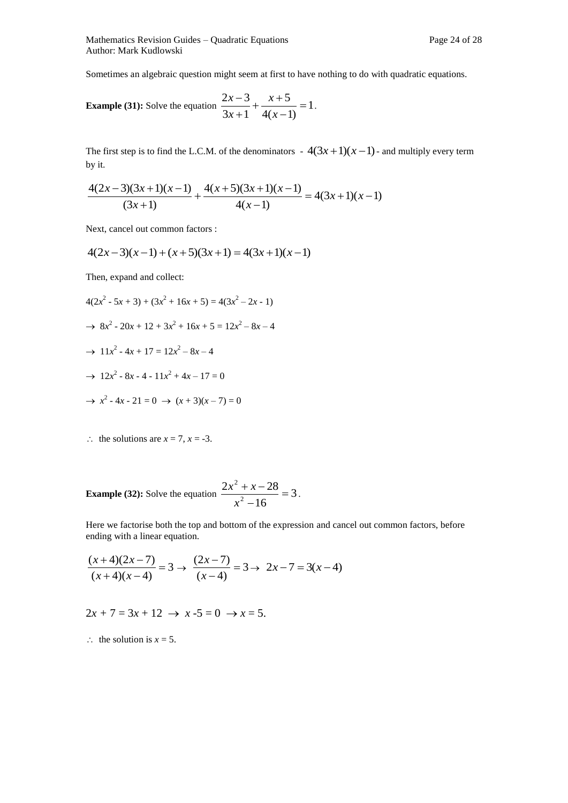Mathematics Revision Guides – Quadratic Equations Page 24 of 28 Author: Mark Kudlowski

Sometimes an algebraic question might seem at first to have nothing to do with quadratic equations.

**Example (31):** Solve the equation 
$$
\frac{2x-3}{3x+1} + \frac{x+5}{4(x-1)} = 1.
$$

The first step is to find the L.C.M. of the denominators  $-4(3x+1)(x-1)$ - and multiply every term by it.

$$
\frac{4(2x-3)(3x+1)(x-1)}{(3x+1)} + \frac{4(x+5)(3x+1)(x-1)}{4(x-1)} = 4(3x+1)(x-1)
$$

Next, cancel out common factors :

$$
4(2x-3)(x-1) + (x+5)(3x+1) = 4(3x+1)(x-1)
$$

Then, expand and collect:

- $4(2x^2 5x + 3) + (3x^2 + 16x + 5) = 4(3x^2 2x 1)$  $\rightarrow$  8*x*<sup>2</sup> - 20*x* + 12 + 3*x*<sup>2</sup> + 16*x* + 5 = 12*x*<sup>2</sup> - 8*x* - 4  $\rightarrow$  11*x*<sup>2</sup> - 4*x* + 17 = 12*x*<sup>2</sup> - 8*x* - 4  $\rightarrow$  12*x*<sup>2</sup> - 8*x* - 4 - 11*x*<sup>2</sup> + 4*x* - 17 = 0  $\rightarrow x^2 - 4x - 21 = 0 \rightarrow (x + 3)(x - 7) = 0$
- 
- $\therefore$  the solutions are  $x = 7$ ,  $x = -3$ .

**Example (32):** Solve the equation 
$$
\frac{2x^2 + x - 28}{x^2 - 16} = 3.
$$

Here we factorise both the top and bottom of the expression and cancel out common factors, before ending with a linear equation.

$$
\frac{(x+4)(2x-7)}{(x+4)(x-4)} = 3 \rightarrow \frac{(2x-7)}{(x-4)} = 3 \rightarrow 2x-7 = 3(x-4)
$$

 $2x + 7 = 3x + 12 \rightarrow x - 5 = 0 \rightarrow x = 5.$ 

 $\therefore$  the solution is  $x = 5$ .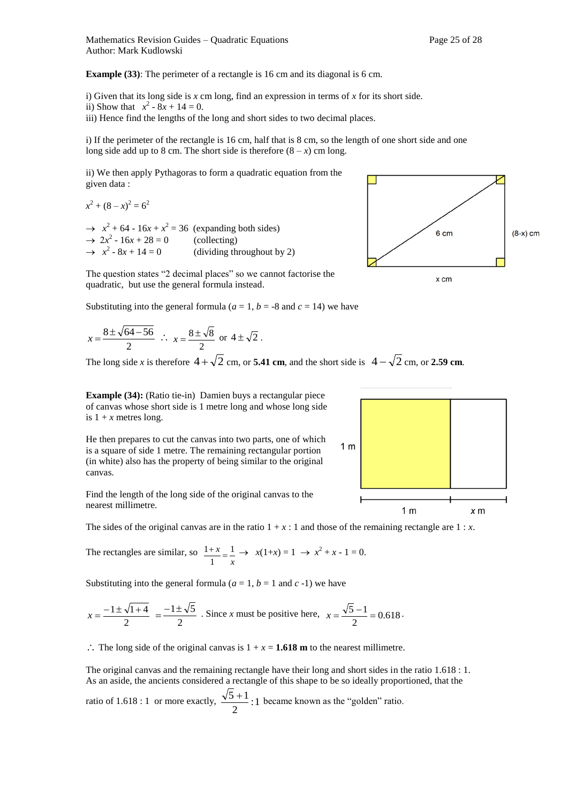**Example (33):** The perimeter of a rectangle is 16 cm and its diagonal is 6 cm.

i) Given that its long side is *x* cm long, find an expression in terms of *x* for its short side.

ii) Show that  $x^2 - 8x + 14 = 0$ .

iii) Hence find the lengths of the long and short sides to two decimal places.

i) If the perimeter of the rectangle is 16 cm, half that is 8 cm, so the length of one short side and one long side add up to 8 cm. The short side is therefore  $(8 - x)$  cm long.

ii) We then apply Pythagoras to form a quadratic equation from the given data :

 $x^2 + (8 - x)^2 = 6^2$  $\rightarrow x^2 + 64 - 16x + x^2 = 36$  (expanding both sides)  $\rightarrow 2x^2 - 16x + 28 = 0$  (collecting)  $\rightarrow$   $x^2$ (dividing throughout by 2)



quadratic, but use the general formula instead.

Substituting into the general formula ( $a = 1$ ,  $b = -8$  and  $c = 14$ ) we have

$$
x = \frac{8 \pm \sqrt{64 - 56}}{2}
$$
  $\therefore$   $x = \frac{8 \pm \sqrt{8}}{2}$  or  $4 \pm \sqrt{2}$ .

The long side *x* is therefore  $4 + \sqrt{2}$  cm, or **5.41 cm**, and the short side is  $4 - \sqrt{2}$  cm, or **2.59 cm**.

**Example (34):** (Ratio tie-in) Damien buys a rectangular piece of canvas whose short side is 1 metre long and whose long side is  $1 + x$  metres long.

He then prepares to cut the canvas into two parts, one of which is a square of side 1 metre. The remaining rectangular portion (in white) also has the property of being similar to the original canvas.

Find the length of the long side of the original canvas to the nearest millimetre.

The sides of the original canvas are in the ratio  $1 + x : 1$  and those of the remaining rectangle are  $1 : x$ .

The rectangles are similar, so 
$$
\frac{1+x}{1} = \frac{1}{x} \rightarrow x(1+x) = 1 \rightarrow x^2 + x - 1 = 0.
$$

Substituting into the general formula  $(a = 1, b = 1 \text{ and } c - 1)$  we have

$$
x = \frac{-1 \pm \sqrt{1+4}}{2} = \frac{-1 \pm \sqrt{5}}{2}
$$
. Since *x* must be positive here,  $x = \frac{\sqrt{5}-1}{2} = 0.618$ .

 $\therefore$  The long side of the original canvas is  $1 + x = 1.618$  m to the nearest millimetre.

The original canvas and the remaining rectangle have their long and short sides in the ratio 1.618 : 1. As an aside, the ancients considered a rectangle of this shape to be so ideally proportioned, that the ratio of 1.618 : 1 or more exactly,  $\frac{\sqrt{9}+1}{2}$ :1 2  $\frac{5+1}{1}$ : 1 became known as the "golden" ratio.



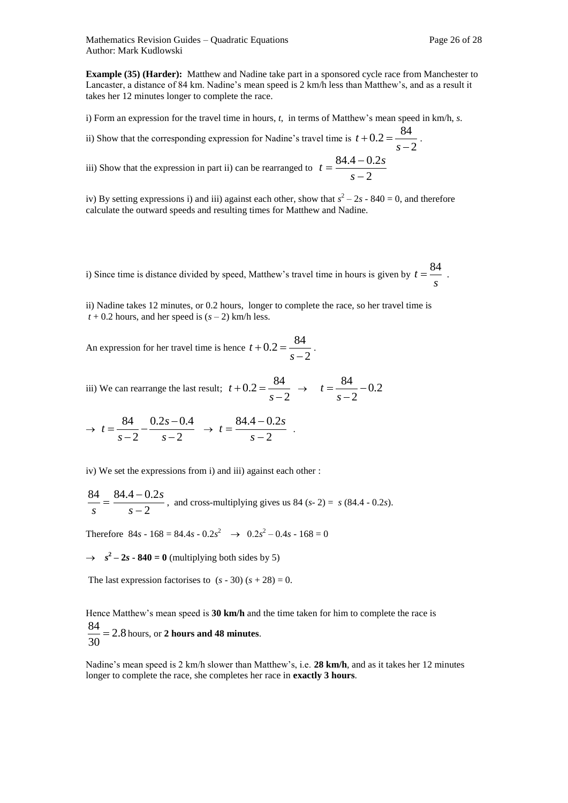**Example (35) (Harder):** Matthew and Nadine take part in a sponsored cycle race from Manchester to Lancaster, a distance of 84 km. Nadine's mean speed is 2 km/h less than Matthew's, and as a result it takes her 12 minutes longer to complete the race.

i) Form an expression for the travel time in hours, *t*, in terms of Matthew's mean speed in km/h, *s*.

ii) Show that the corresponding expression for Nadine's travel time is  $t + 0.2 = \frac{3}{s-2}$  $0.2 = \frac{84}{1}$  $\overline{a}$  $+0.2=$ *s*  $t + 0.2 = \frac{0}{\epsilon}$ .

iii) Show that the expression in part ii) can be rearranged to  $t = \frac{3(1+2)}{s-2}$  $84.4 - 0.2$  $\overline{a}$  $=\frac{84.4-}{2}$ *s*  $t = \frac{84.4 - 0.2s}{s}$ 

iv) By setting expressions i) and iii) against each other, show that  $s^2 - 2s - 840 = 0$ , and therefore calculate the outward speeds and resulting times for Matthew and Nadine.

i) Since time is distance divided by speed, Matthew's travel time in hours is given by  $t = \frac{S}{s}$  $t = \frac{84}{1}$ .

ii) Nadine takes 12 minutes, or 0.2 hours, longer to complete the race, so her travel time is  $t + 0.2$  hours, and her speed is  $(s - 2)$  km/h less.

An expression for her travel time is hence  $t + 0.2 = \frac{3}{s-2}$  $0.2 = \frac{84}{1}$  $\overline{a}$  $+0.2=$ *s*  $t + 0.2 = \frac{0.04}{0.2}$ .

iii) We can rearrange the last result;  $t + 0.2 = \frac{0.25}{s - 2.25}$  $0.2 = \frac{84}{1}$  $\overline{a}$  $+0.2=$ *s*  $t + 0.2 = \frac{04}{10} \rightarrow t = \frac{04}{10} - 0.2$ 2  $\frac{84}{1}$  $\overline{a}$  $=$ *s t*

$$
\rightarrow t = \frac{84}{s-2} - \frac{0.2s - 0.4}{s-2} \rightarrow t = \frac{84.4 - 0.2s}{s-2} .
$$

iv) We set the expressions from i) and iii) against each other :

$$
\frac{84}{s} = \frac{84.4 - 0.2s}{s - 2}
$$
, and cross-multiplying gives us 84 (s-2) = s (84.4 - 0.2s).

Therefore  $84s - 168 = 84.4s - 0.2s^2 \rightarrow 0.2s^2 - 0.4s - 168 = 0$ 

 $\rightarrow$   $s^2 - 2s - 840 = 0$  (multiplying both sides by 5)

The last expression factorises to  $(s - 30)$   $(s + 28) = 0$ .

Hence Matthew's mean speed is **30 km/h** and the time taken for him to complete the race is 2.8 30  $\frac{84}{20}$  = 2.8 hours, or **2 hours and 48 minutes**.

Nadine's mean speed is 2 km/h slower than Matthew's, i.e. **28 km/h**, and as it takes her 12 minutes longer to complete the race, she completes her race in **exactly 3 hours**.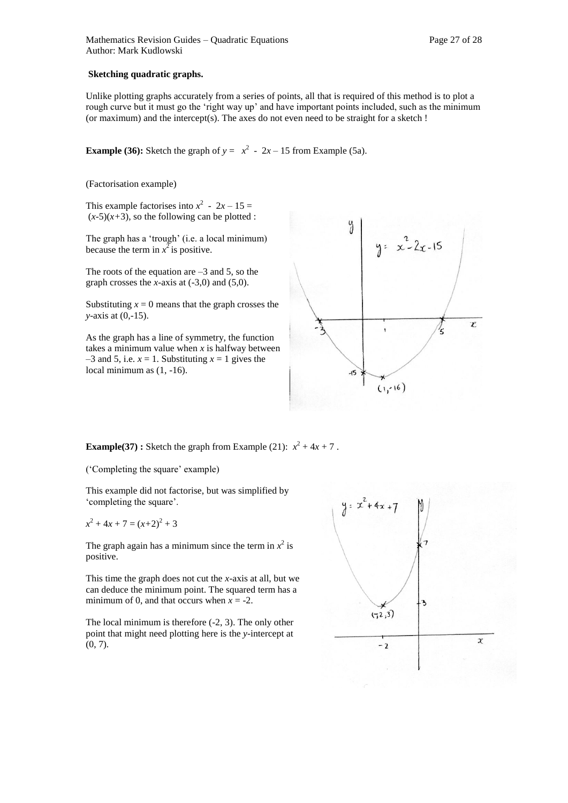#### **Sketching quadratic graphs.**

Unlike plotting graphs accurately from a series of points, all that is required of this method is to plot a rough curve but it must go the 'right way up' and have important points included, such as the minimum (or maximum) and the intercept(s). The axes do not even need to be straight for a sketch !

**Example (36):** Sketch the graph of  $y = x^2 - 2x - 15$  from Example (5a).

(Factorisation example)

This example factorises into  $x^2 - 2x - 15 =$  $(x-5)(x+3)$ , so the following can be plotted :

The graph has a 'trough' (i.e. a local minimum) because the term in  $x^2$  is positive.

The roots of the equation are  $-3$  and 5, so the graph crosses the *x*-axis at  $(-3,0)$  and  $(5,0)$ .

Substituting  $x = 0$  means that the graph crosses the *y*-axis at (0,-15).

As the graph has a line of symmetry, the function takes a minimum value when *x* is halfway between  $-3$  and 5, i.e.  $x = 1$ . Substituting  $x = 1$  gives the local minimum as (1, -16).



**Example(37) :** Sketch the graph from Example (21):  $x^2 + 4x + 7$ .

('Completing the square' example)

This example did not factorise, but was simplified by 'completing the square'.

$$
x^2 + 4x + 7 = (x+2)^2 + 3
$$

The graph again has a minimum since the term in  $x^2$  is positive.

This time the graph does not cut the *x*-axis at all, but we can deduce the minimum point. The squared term has a minimum of 0, and that occurs when  $x = -2$ .

The local minimum is therefore (-2, 3). The only other point that might need plotting here is the *y-*intercept at  $(0, 7)$ .